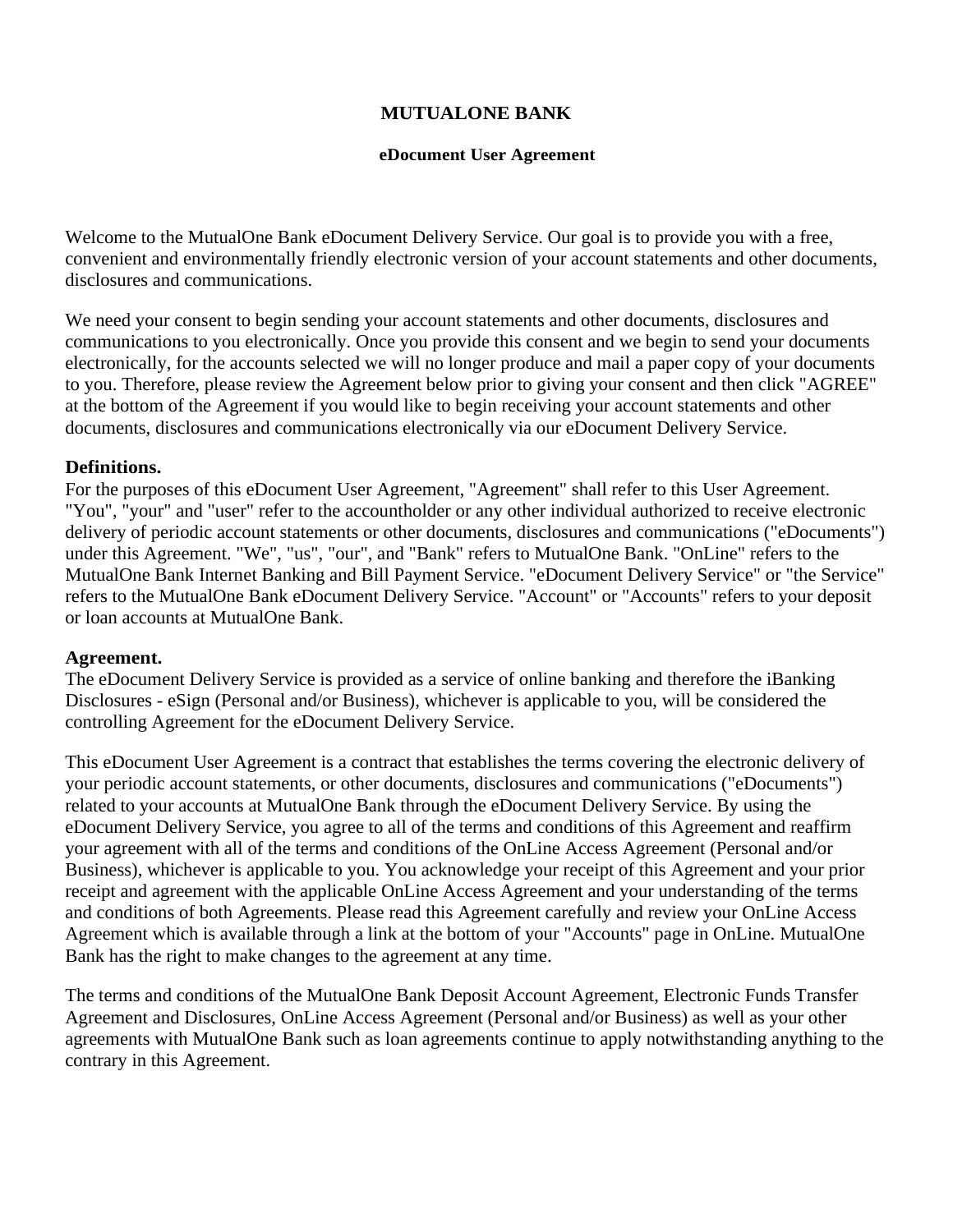# **MUTUALONE BANK**

### **eDocument User Agreement**

Welcome to the MutualOne Bank eDocument Delivery Service. Our goal is to provide you with a free, convenient and environmentally friendly electronic version of your account statements and other documents, disclosures and communications.

We need your consent to begin sending your account statements and other documents, disclosures and communications to you electronically. Once you provide this consent and we begin to send your documents electronically, for the accounts selected we will no longer produce and mail a paper copy of your documents to you. Therefore, please review the Agreement below prior to giving your consent and then click "AGREE" at the bottom of the Agreement if you would like to begin receiving your account statements and other documents, disclosures and communications electronically via our eDocument Delivery Service.

### **Definitions.**

For the purposes of this eDocument User Agreement, "Agreement" shall refer to this User Agreement. "You", "your" and "user" refer to the accountholder or any other individual authorized to receive electronic delivery of periodic account statements or other documents, disclosures and communications ("eDocuments") under this Agreement. "We", "us", "our", and "Bank" refers to MutualOne Bank. "OnLine" refers to the MutualOne Bank Internet Banking and Bill Payment Service. "eDocument Delivery Service" or "the Service" refers to the MutualOne Bank eDocument Delivery Service. "Account" or "Accounts" refers to your deposit or loan accounts at MutualOne Bank.

### **Agreement.**

The eDocument Delivery Service is provided as a service of online banking and therefore the iBanking Disclosures - eSign (Personal and/or Business), whichever is applicable to you, will be considered the controlling Agreement for the eDocument Delivery Service.

This eDocument User Agreement is a contract that establishes the terms covering the electronic delivery of your periodic account statements, or other documents, disclosures and communications ("eDocuments") related to your accounts at MutualOne Bank through the eDocument Delivery Service. By using the eDocument Delivery Service, you agree to all of the terms and conditions of this Agreement and reaffirm your agreement with all of the terms and conditions of the OnLine Access Agreement (Personal and/or Business), whichever is applicable to you. You acknowledge your receipt of this Agreement and your prior receipt and agreement with the applicable OnLine Access Agreement and your understanding of the terms and conditions of both Agreements. Please read this Agreement carefully and review your OnLine Access Agreement which is available through a link at the bottom of your "Accounts" page in OnLine. MutualOne Bank has the right to make changes to the agreement at any time.

The terms and conditions of the MutualOne Bank Deposit Account Agreement, Electronic Funds Transfer Agreement and Disclosures, OnLine Access Agreement (Personal and/or Business) as well as your other agreements with MutualOne Bank such as loan agreements continue to apply notwithstanding anything to the contrary in this Agreement.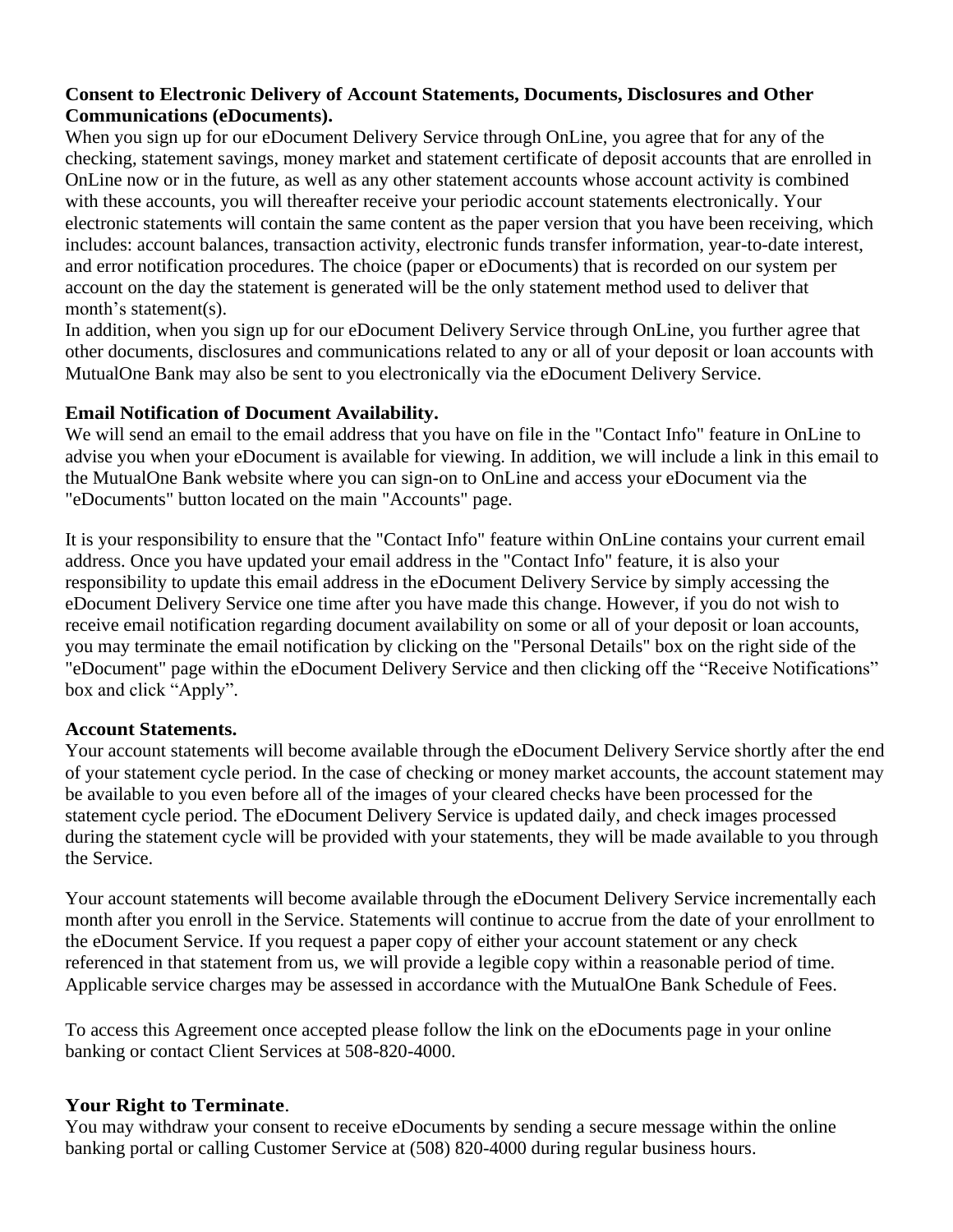# **Consent to Electronic Delivery of Account Statements, Documents, Disclosures and Other Communications (eDocuments).**

When you sign up for our eDocument Delivery Service through OnLine, you agree that for any of the checking, statement savings, money market and statement certificate of deposit accounts that are enrolled in OnLine now or in the future, as well as any other statement accounts whose account activity is combined with these accounts, you will thereafter receive your periodic account statements electronically. Your electronic statements will contain the same content as the paper version that you have been receiving, which includes: account balances, transaction activity, electronic funds transfer information, year-to-date interest, and error notification procedures. The choice (paper or eDocuments) that is recorded on our system per account on the day the statement is generated will be the only statement method used to deliver that month's statement(s).

In addition, when you sign up for our eDocument Delivery Service through OnLine, you further agree that other documents, disclosures and communications related to any or all of your deposit or loan accounts with MutualOne Bank may also be sent to you electronically via the eDocument Delivery Service.

# **Email Notification of Document Availability.**

We will send an email to the email address that you have on file in the "Contact Info" feature in OnLine to advise you when your eDocument is available for viewing. In addition, we will include a link in this email to the MutualOne Bank website where you can sign-on to OnLine and access your eDocument via the "eDocuments" button located on the main "Accounts" page.

It is your responsibility to ensure that the "Contact Info" feature within OnLine contains your current email address. Once you have updated your email address in the "Contact Info" feature, it is also your responsibility to update this email address in the eDocument Delivery Service by simply accessing the eDocument Delivery Service one time after you have made this change. However, if you do not wish to receive email notification regarding document availability on some or all of your deposit or loan accounts, you may terminate the email notification by clicking on the "Personal Details" box on the right side of the "eDocument" page within the eDocument Delivery Service and then clicking off the "Receive Notifications" box and click "Apply".

# **Account Statements.**

Your account statements will become available through the eDocument Delivery Service shortly after the end of your statement cycle period. In the case of checking or money market accounts, the account statement may be available to you even before all of the images of your cleared checks have been processed for the statement cycle period. The eDocument Delivery Service is updated daily, and check images processed during the statement cycle will be provided with your statements, they will be made available to you through the Service.

Your account statements will become available through the eDocument Delivery Service incrementally each month after you enroll in the Service. Statements will continue to accrue from the date of your enrollment to the eDocument Service. If you request a paper copy of either your account statement or any check referenced in that statement from us, we will provide a legible copy within a reasonable period of time. Applicable service charges may be assessed in accordance with the MutualOne Bank Schedule of Fees.

To access this Agreement once accepted please follow the link on the eDocuments page in your online banking or contact Client Services at 508-820-4000.

# **Your Right to Terminate**.

You may withdraw your consent to receive eDocuments by sending a secure message within the online banking portal or calling Customer Service at (508) 820-4000 during regular business hours.